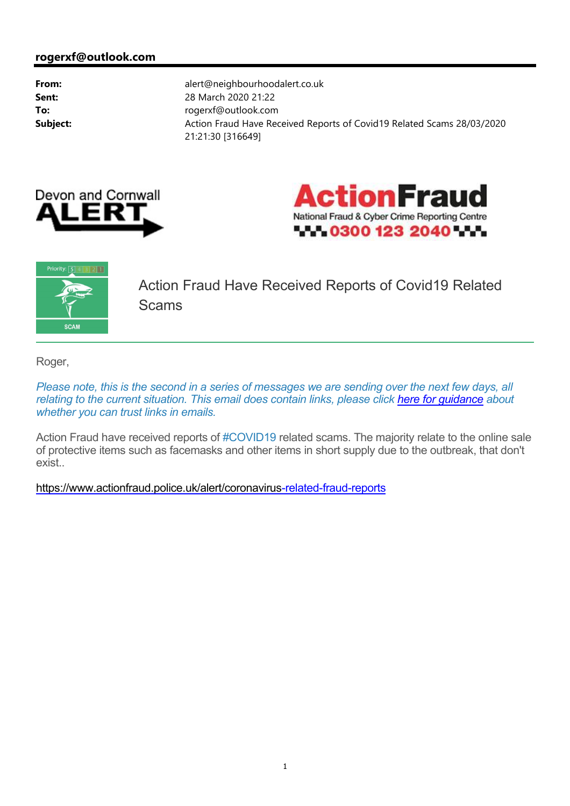





Action Fraud Have Received Reports of Covid19 Related **Scams** 

Roger,

*Please note, this is the second in a series of messages we are sending over the next few days, all relating to the current situation. This email does contain links, please click here for guidance about whether you can trust links in emails.*

Action Fraud have received reports of #COVID19 related scams. The majority relate to the online sale of protective items such as facemasks and other items in short supply due to the outbreak, that don't exist..

[https://www.actionfraud.police.uk/alert/coronavirus-re](https://www.actionfraud.police.uk/alert/coronavirus)lated-fraud-reports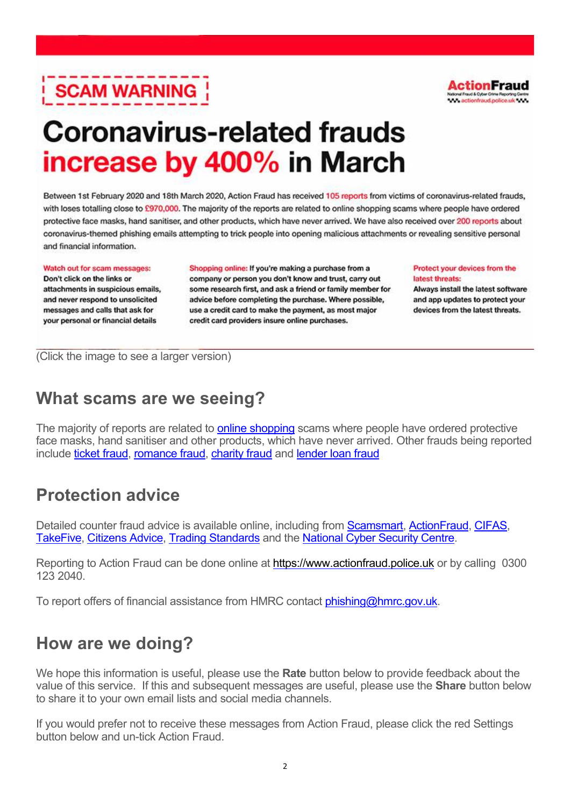# **SCAM WARNING**



## **Coronavirus-related frauds** increase by 400% in March

Between 1st February 2020 and 18th March 2020, Action Fraud has received 105 reports from victims of coronavirus-related frauds, with loses totalling close to £970,000. The majority of the reports are related to online shopping scams where people have ordered protective face masks, hand sanitiser, and other products, which have never arrived. We have also received over 200 reports about coronavirus-themed phishing emails attempting to trick people into opening malicious attachments or revealing sensitive personal and financial information.

Watch out for scam messages: Don't click on the links or attachments in suspicious emails, and never respond to unsolicited messages and calls that ask for your personal or financial details

Shopping online: If you're making a purchase from a company or person you don't know and trust, carry out some research first, and ask a friend or family member for advice before completing the purchase. Where possible, use a credit card to make the payment, as most major credit card providers insure online purchases.

Protect your devices from the latest threats:

Always install the latest software and app updates to protect your devices from the latest threats.

(Click the image to see a larger version)

### **What scams are we seeing?**

The majority of reports are related to **online shopping** scams where people have ordered protective face masks, hand sanitiser and other products, which have never arrived. Other frauds being reported include ticket fraud, romance fraud, charity fraud and lender loan fraud

#### **Protection advice**

Detailed counter fraud advice is available online, including from **Scamsmart, ActionFraud, CIFAS,** TakeFive, Citizens Advice, Trading Standards and the National Cyber Security Centre.

Reporting to Action Fraud can be done online at<https://www.actionfraud.police.uk> or by calling 0300 123 2040.

To report offers of financial assistance from HMRC contact phishing@hmrc.gov.uk.

#### **How are we doing?**

We hope this information is useful, please use the **Rate** button below to provide feedback about the value of this service. If this and subsequent messages are useful, please use the **Share** button below to share it to your own email lists and social media channels.

If you would prefer not to receive these messages from Action Fraud, please click the red Settings button below and un-tick Action Fraud.